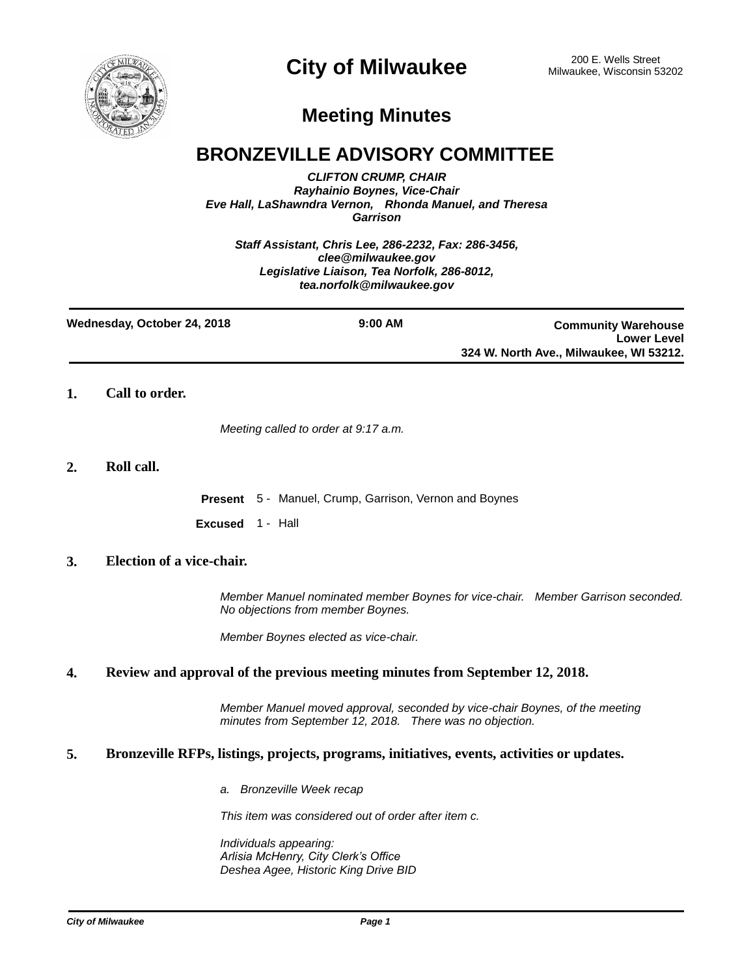

# **City of Milwaukee** 200 E. Wells Street 200 E. Wells Street

## **Meeting Minutes**

### **BRONZEVILLE ADVISORY COMMITTEE**

*CLIFTON CRUMP, CHAIR Rayhainio Boynes, Vice-Chair Eve Hall, LaShawndra Vernon, Rhonda Manuel, and Theresa Garrison*

*Staff Assistant, Chris Lee, 286-2232, Fax: 286-3456, clee@milwaukee.gov Legislative Liaison, Tea Norfolk, 286-8012, tea.norfolk@milwaukee.gov*

| Wednesday, October 24, 2018 | $9:00$ AM | <b>Community Warehouse</b>              |
|-----------------------------|-----------|-----------------------------------------|
|                             |           | <b>Lower Level</b>                      |
|                             |           | 324 W. North Ave., Milwaukee, WI 53212. |

**1. Call to order.**

*Meeting called to order at 9:17 a.m.*

#### **2. Roll call.**

**Present** 5 - Manuel, Crump, Garrison, Vernon and Boynes

**Excused** 1 - Hall

#### **3. Election of a vice-chair.**

*Member Manuel nominated member Boynes for vice-chair. Member Garrison seconded. No objections from member Boynes.*

*Member Boynes elected as vice-chair.*

#### **4. Review and approval of the previous meeting minutes from September 12, 2018.**

*Member Manuel moved approval, seconded by vice-chair Boynes, of the meeting minutes from September 12, 2018. There was no objection.*

#### **5. Bronzeville RFPs, listings, projects, programs, initiatives, events, activities or updates.**

*a. Bronzeville Week recap*

*This item was considered out of order after item c.*

*Individuals appearing: Arlisia McHenry, City Clerk's Office Deshea Agee, Historic King Drive BID*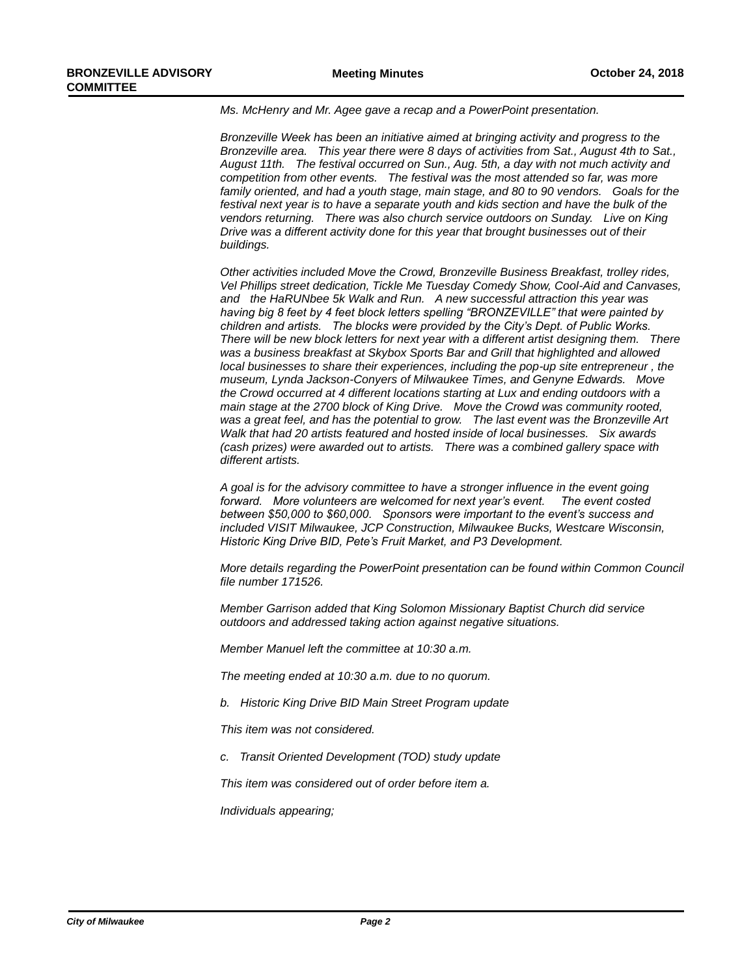*Ms. McHenry and Mr. Agee gave a recap and a PowerPoint presentation.*

*Bronzeville Week has been an initiative aimed at bringing activity and progress to the Bronzeville area. This year there were 8 days of activities from Sat., August 4th to Sat., August 11th. The festival occurred on Sun., Aug. 5th, a day with not much activity and competition from other events. The festival was the most attended so far, was more family oriented, and had a youth stage, main stage, and 80 to 90 vendors. Goals for the*  festival next year is to have a separate youth and kids section and have the bulk of the *vendors returning. There was also church service outdoors on Sunday. Live on King Drive was a different activity done for this year that brought businesses out of their buildings.* 

*Other activities included Move the Crowd, Bronzeville Business Breakfast, trolley rides, Vel Phillips street dedication, Tickle Me Tuesday Comedy Show, Cool-Aid and Canvases, and the HaRUNbee 5k Walk and Run. A new successful attraction this year was having big 8 feet by 4 feet block letters spelling "BRONZEVILLE" that were painted by children and artists. The blocks were provided by the City's Dept. of Public Works. There will be new block letters for next year with a different artist designing them. There was a business breakfast at Skybox Sports Bar and Grill that highlighted and allowed local businesses to share their experiences, including the pop-up site entrepreneur , the museum, Lynda Jackson-Conyers of Milwaukee Times, and Genyne Edwards. Move the Crowd occurred at 4 different locations starting at Lux and ending outdoors with a main stage at the 2700 block of King Drive. Move the Crowd was community rooted, was a great feel, and has the potential to grow. The last event was the Bronzeville Art Walk that had 20 artists featured and hosted inside of local businesses. Six awards (cash prizes) were awarded out to artists. There was a combined gallery space with different artists.* 

*A goal is for the advisory committee to have a stronger influence in the event going forward. More volunteers are welcomed for next year's event. The event costed between \$50,000 to \$60,000. Sponsors were important to the event's success and included VISIT Milwaukee, JCP Construction, Milwaukee Bucks, Westcare Wisconsin, Historic King Drive BID, Pete's Fruit Market, and P3 Development.*

*More details regarding the PowerPoint presentation can be found within Common Council file number 171526.*

*Member Garrison added that King Solomon Missionary Baptist Church did service outdoors and addressed taking action against negative situations.*

*Member Manuel left the committee at 10:30 a.m.*

*The meeting ended at 10:30 a.m. due to no quorum.*

*b. Historic King Drive BID Main Street Program update*

*This item was not considered.*

*c. Transit Oriented Development (TOD) study update*

*This item was considered out of order before item a.* 

*Individuals appearing;*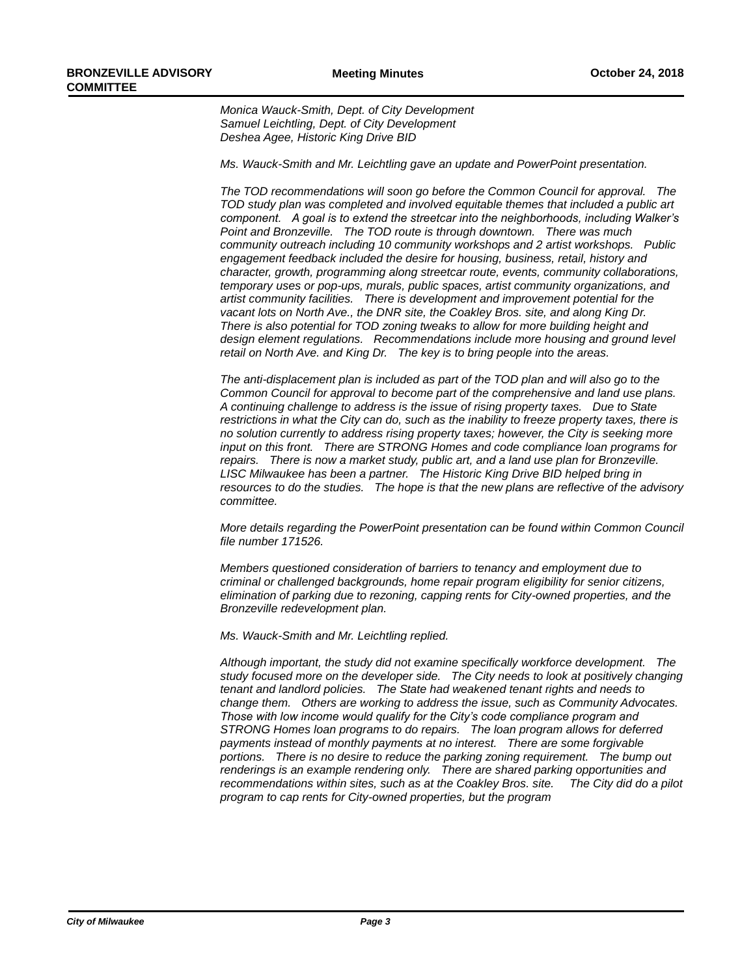*Monica Wauck-Smith, Dept. of City Development Samuel Leichtling, Dept. of City Development Deshea Agee, Historic King Drive BID*

*Ms. Wauck-Smith and Mr. Leichtling gave an update and PowerPoint presentation.* 

*The TOD recommendations will soon go before the Common Council for approval. The TOD study plan was completed and involved equitable themes that included a public art component. A goal is to extend the streetcar into the neighborhoods, including Walker's Point and Bronzeville. The TOD route is through downtown. There was much community outreach including 10 community workshops and 2 artist workshops. Public engagement feedback included the desire for housing, business, retail, history and character, growth, programming along streetcar route, events, community collaborations, temporary uses or pop-ups, murals, public spaces, artist community organizations, and artist community facilities. There is development and improvement potential for the vacant lots on North Ave., the DNR site, the Coakley Bros. site, and along King Dr. There is also potential for TOD zoning tweaks to allow for more building height and design element regulations. Recommendations include more housing and ground level retail on North Ave. and King Dr. The key is to bring people into the areas.*

*The anti-displacement plan is included as part of the TOD plan and will also go to the Common Council for approval to become part of the comprehensive and land use plans. A continuing challenge to address is the issue of rising property taxes. Due to State restrictions in what the City can do, such as the inability to freeze property taxes, there is no solution currently to address rising property taxes; however, the City is seeking more input on this front. There are STRONG Homes and code compliance loan programs for repairs. There is now a market study, public art, and a land use plan for Bronzeville.*  LISC Milwaukee has been a partner. The Historic King Drive BID helped bring in *resources to do the studies. The hope is that the new plans are reflective of the advisory committee.*

*More details regarding the PowerPoint presentation can be found within Common Council file number 171526.*

*Members questioned consideration of barriers to tenancy and employment due to criminal or challenged backgrounds, home repair program eligibility for senior citizens, elimination of parking due to rezoning, capping rents for City-owned properties, and the Bronzeville redevelopment plan.*

*Ms. Wauck-Smith and Mr. Leichtling replied.*

*Although important, the study did not examine specifically workforce development. The study focused more on the developer side. The City needs to look at positively changing tenant and landlord policies. The State had weakened tenant rights and needs to change them. Others are working to address the issue, such as Community Advocates. Those with low income would qualify for the City's code compliance program and STRONG Homes loan programs to do repairs. The loan program allows for deferred payments instead of monthly payments at no interest. There are some forgivable portions. There is no desire to reduce the parking zoning requirement. The bump out renderings is an example rendering only. There are shared parking opportunities and recommendations within sites, such as at the Coakley Bros. site. The City did do a pilot program to cap rents for City-owned properties, but the program*